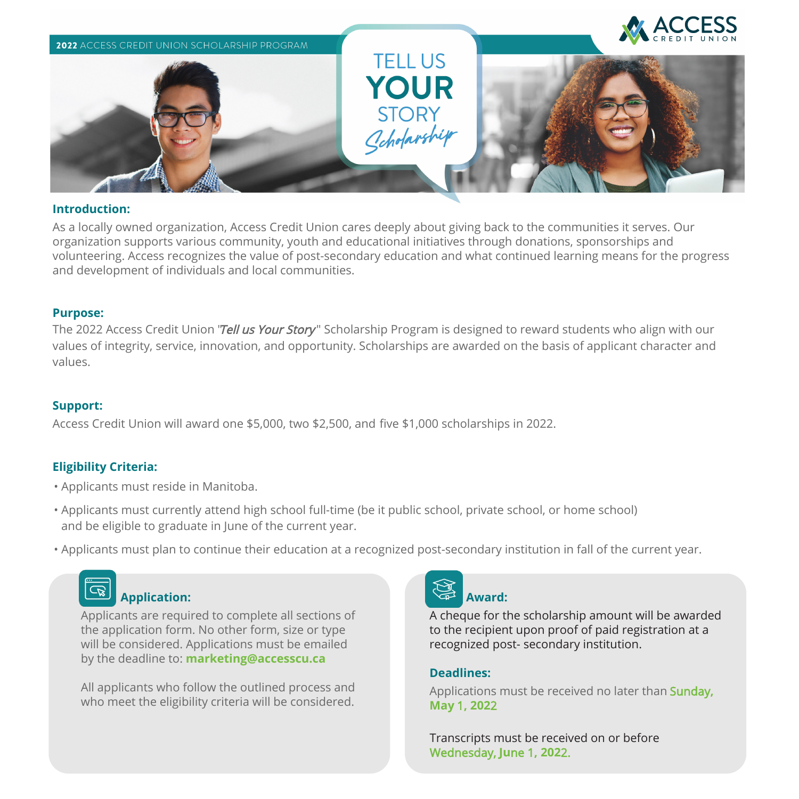

#### **Introduction:**

As a locally owned organization, Access Credit Union cares deeply about giving back to the communities it serves. Our organization supports various community, youth and educational initiatives through donations, sponsorships and volunteering. Access recognizes the value of post-secondary education and what continued learning means for the progress and development of individuals and local communities.

#### **Purpose:**

The 2022 Access Credit Union "Tell us Your Story" Scholarship Program is designed to reward students who align with our values of integrity, service, innovation, and opportunity. Scholarships are awarded on the basis of applicant character and values.

#### **Support:**

Access Credit Union will award one \$5,000, two \$2,500, and five \$1,000 scholarships in 2022.

#### **Eligibility Criteria:**

- Applicants must reside in Manitoba.
- Applicants must currently attend high school full-time (be it public school, private school, or home school) and be eligible to graduate in June of the current year.
- Applicants must plan to continue their education at a recognized post-secondary institution in fall of the current year.

# **Application:**

Applicants are required to complete all sections of the application form. No other form, size or type will be considered. Applications must be emailed by the deadline to: **marketing@accesscu.ca**

All applicants who follow the outlined process and who meet the eligibility criteria will be considered.



A cheque for the scholarship amount will be awarded to the recipient upon proof of paid registration at a recognized post- secondary institution.

#### **Deadlines:**

Applications must be received no later than Sunday**, May** 1**, 202**2

Transcripts must be received on or before Wednesday, **Ju**ne 1**, 202**2.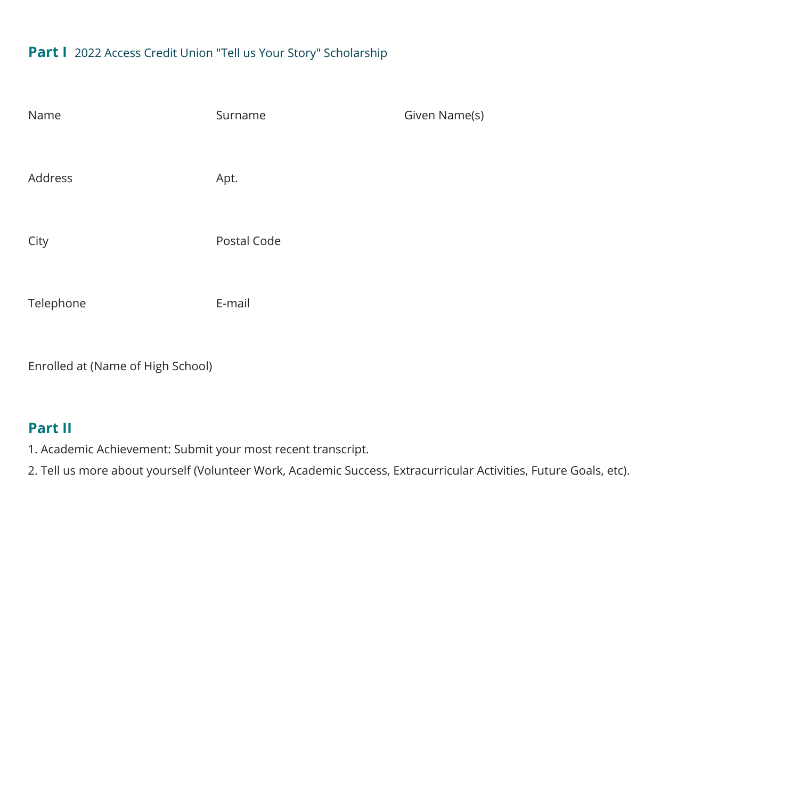## **Part I** 2022 Access Credit Union "Tell us Your Story" Scholarship

| Name      | Surname     | Given Name(s) |
|-----------|-------------|---------------|
|           |             |               |
| Address   | Apt.        |               |
|           |             |               |
| City      | Postal Code |               |
|           |             |               |
| Telephone | E-mail      |               |

Enrolled at (Name of High School)

# **Part II**

1. Academic Achievement: Submit your most recent transcript.

2. Tell us more about yourself (Volunteer Work, Academic Success, Extracurricular Activities, Future Goals, etc).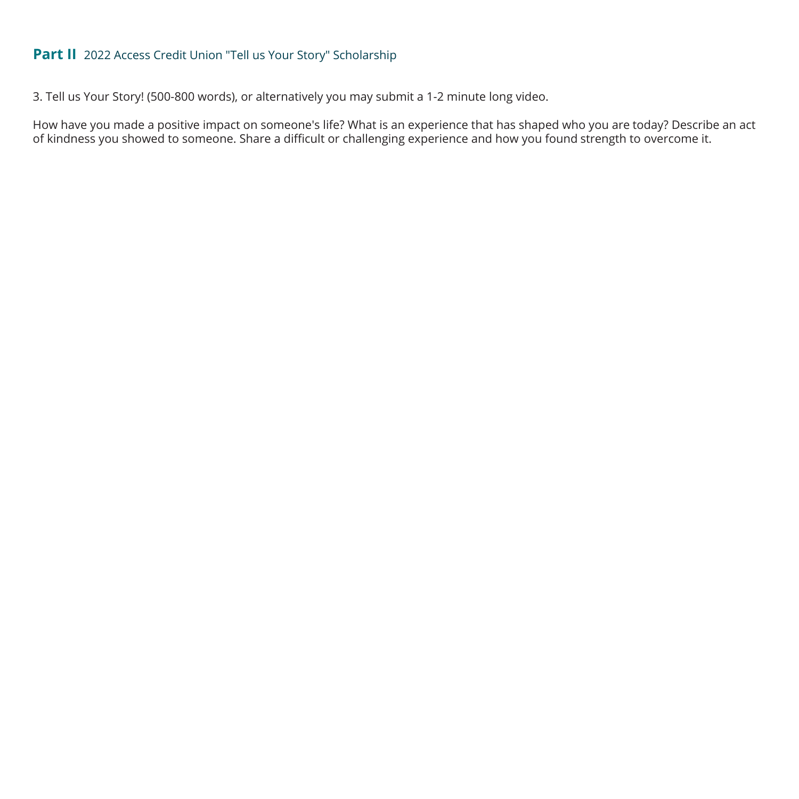# **Part II** 2022 Access Credit Union "Tell us Your Story" Scholarship

3. Tell us Your Story! (500-800 words), or alternatively you may submit a 1-2 minute long video.

How have you made a positive impact on someone's life? What is an experience that has shaped who you are today? Describe an act of kindness you showed to someone. Share a difficult or challenging experience and how you found strength to overcome it.